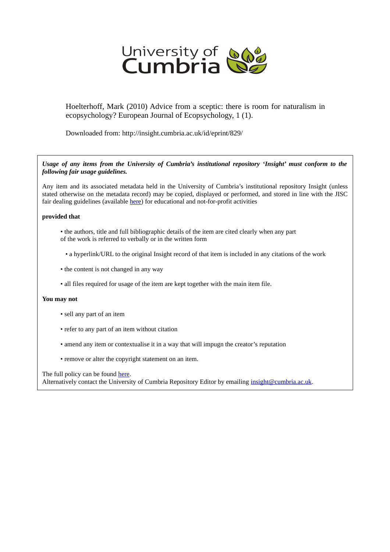

Hoelterhoff, Mark (2010) Advice from a sceptic: there is room for naturalism in ecopsychology? European Journal of Ecopsychology, 1 (1).

Downloaded from: http://insight.cumbria.ac.uk/id/eprint/829/

*Usage of any items from the University of Cumbria's institutional repository 'Insight' must conform to the following fair usage guidelines.*

Any item and its associated metadata held in the University of Cumbria's institutional repository Insight (unless stated otherwise on the metadata record) may be copied, displayed or performed, and stored in line with the JISC fair dealing guidelines (available [here\)](http://www.ukoln.ac.uk/services/elib/papers/pa/fair/) for educational and not-for-profit activities

#### **provided that**

- the authors, title and full bibliographic details of the item are cited clearly when any part of the work is referred to verbally or in the written form
	- a hyperlink/URL to the original Insight record of that item is included in any citations of the work
- the content is not changed in any way
- all files required for usage of the item are kept together with the main item file.

#### **You may not**

- sell any part of an item
- refer to any part of an item without citation
- amend any item or contextualise it in a way that will impugn the creator's reputation
- remove or alter the copyright statement on an item.

The full policy can be found [here.](http://insight.cumbria.ac.uk/legal.html#section5)

Alternatively contact the University of Cumbria Repository Editor by emailing [insight@cumbria.ac.uk.](mailto:insight@cumbria.ac.uk)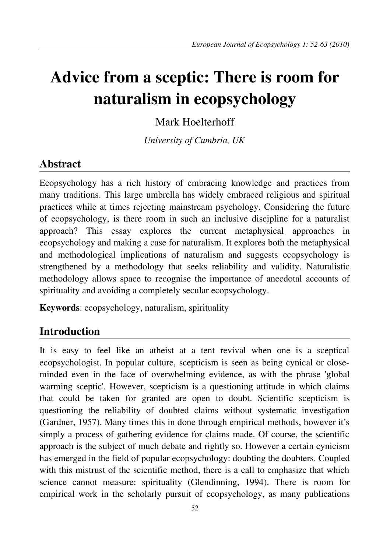# **Advice from a sceptic: There is room for naturalism in ecopsychology**

Mark Hoelterhoff

*University of Cumbria, UK*

# **Abstract**

Ecopsychology has a rich history of embracing knowledge and practices from many traditions. This large umbrella has widely embraced religious and spiritual practices while at times rejecting mainstream psychology. Considering the future of ecopsychology, is there room in such an inclusive discipline for a naturalist approach? This essay explores the current metaphysical approaches in ecopsychology and making a case for naturalism. It explores both the metaphysical and methodological implications of naturalism and suggests ecopsychology is strengthened by a methodology that seeks reliability and validity. Naturalistic methodology allows space to recognise the importance of anecdotal accounts of spirituality and avoiding a completely secular ecopsychology.

**Keywords**: ecopsychology, naturalism, spirituality

# **Introduction**

It is easy to feel like an atheist at a tent revival when one is a sceptical ecopsychologist. In popular culture, scepticism is seen as being cynical or closeminded even in the face of overwhelming evidence, as with the phrase 'global warming sceptic'. However, scepticism is a questioning attitude in which claims that could be taken for granted are open to doubt. Scientific scepticism is questioning the reliability of doubted claims without systematic investigation (Gardner, 1957). Many times this in done through empirical methods, however it's simply a process of gathering evidence for claims made. Of course, the scientific approach is the subject of much debate and rightly so. However a certain cynicism has emerged in the field of popular ecopsychology: doubting the doubters. Coupled with this mistrust of the scientific method, there is a call to emphasize that which science cannot measure: spirituality (Glendinning, 1994). There is room for empirical work in the scholarly pursuit of ecopsychology, as many publications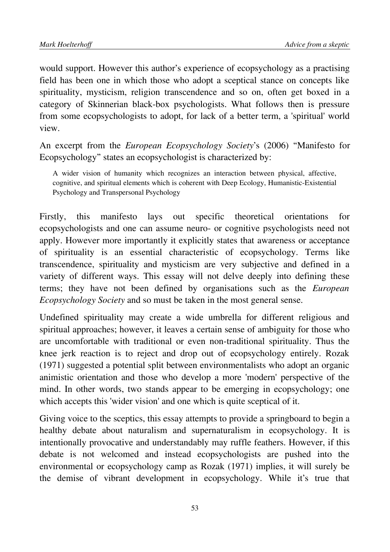would support. However this author's experience of ecopsychology as a practising field has been one in which those who adopt a sceptical stance on concepts like spirituality, mysticism, religion transcendence and so on, often get boxed in a category of Skinnerian black-box psychologists. What follows then is pressure from some ecopsychologists to adopt, for lack of a better term, a 'spiritual' world view.

An excerpt from the *European Ecopsychology Society*'s (2006) "Manifesto for Ecopsychology" states an ecopsychologist is characterized by:

A wider vision of humanity which recognizes an interaction between physical, affective, cognitive, and spiritual elements which is coherent with Deep Ecology, Humanistic-Existential Psychology and Transpersonal Psychology

Firstly, this manifesto lays out specific theoretical orientations for ecopsychologists and one can assume neuro- or cognitive psychologists need not apply. However more importantly it explicitly states that awareness or acceptance of spirituality is an essential characteristic of ecopsychology. Terms like transcendence, spirituality and mysticism are very subjective and defined in a variety of different ways. This essay will not delve deeply into defining these terms; they have not been defined by organisations such as the *European Ecopsychology Society* and so must be taken in the most general sense.

Undefined spirituality may create a wide umbrella for different religious and spiritual approaches; however, it leaves a certain sense of ambiguity for those who are uncomfortable with traditional or even non-traditional spirituality. Thus the knee jerk reaction is to reject and drop out of ecopsychology entirely. Rozak (1971) suggested a potential split between environmentalists who adopt an organic animistic orientation and those who develop a more 'modern' perspective of the mind. In other words, two stands appear to be emerging in ecopsychology; one which accepts this 'wider vision' and one which is quite sceptical of it.

Giving voice to the sceptics, this essay attempts to provide a springboard to begin a healthy debate about naturalism and supernaturalism in ecopsychology. It is intentionally provocative and understandably may ruffle feathers. However, if this debate is not welcomed and instead ecopsychologists are pushed into the environmental or ecopsychology camp as Rozak (1971) implies, it will surely be the demise of vibrant development in ecopsychology. While it's true that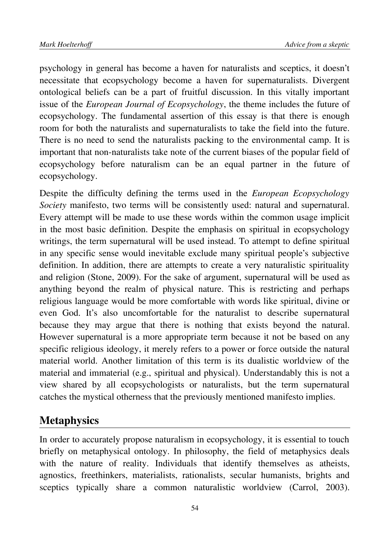psychology in general has become a haven for naturalists and sceptics, it doesn't necessitate that ecopsychology become a haven for supernaturalists. Divergent ontological beliefs can be a part of fruitful discussion. In this vitally important issue of the *European Journal of Ecopsychology*, the theme includes the future of ecopsychology. The fundamental assertion of this essay is that there is enough room for both the naturalists and supernaturalists to take the field into the future. There is no need to send the naturalists packing to the environmental camp. It is important that non-naturalists take note of the current biases of the popular field of ecopsychology before naturalism can be an equal partner in the future of ecopsychology.

Despite the difficulty defining the terms used in the *European Ecopsychology Society* manifesto, two terms will be consistently used: natural and supernatural. Every attempt will be made to use these words within the common usage implicit in the most basic definition. Despite the emphasis on spiritual in ecopsychology writings, the term supernatural will be used instead. To attempt to define spiritual in any specific sense would inevitable exclude many spiritual people's subjective definition. In addition, there are attempts to create a very naturalistic spirituality and religion (Stone, 2009). For the sake of argument, supernatural will be used as anything beyond the realm of physical nature. This is restricting and perhaps religious language would be more comfortable with words like spiritual, divine or even God. It's also uncomfortable for the naturalist to describe supernatural because they may argue that there is nothing that exists beyond the natural. However supernatural is a more appropriate term because it not be based on any specific religious ideology, it merely refers to a power or force outside the natural material world. Another limitation of this term is its dualistic worldview of the material and immaterial (e.g., spiritual and physical). Understandably this is not a view shared by all ecopsychologists or naturalists, but the term supernatural catches the mystical otherness that the previously mentioned manifesto implies.

#### **Metaphysics**

In order to accurately propose naturalism in ecopsychology, it is essential to touch briefly on metaphysical ontology. In philosophy, the field of metaphysics deals with the nature of reality. Individuals that identify themselves as atheists, agnostics, freethinkers, materialists, rationalists, secular humanists, brights and sceptics typically share a common naturalistic worldview (Carrol, 2003).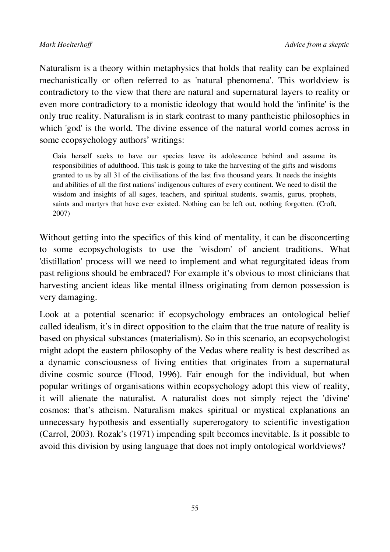Naturalism is a theory within metaphysics that holds that reality can be explained mechanistically or often referred to as 'natural phenomena'. This worldview is contradictory to the view that there are natural and supernatural layers to reality or even more contradictory to a monistic ideology that would hold the 'infinite' is the only true reality. Naturalism is in stark contrast to many pantheistic philosophies in which 'god' is the world. The divine essence of the natural world comes across in some ecopsychology authors' writings:

Gaia herself seeks to have our species leave its adolescence behind and assume its responsibilities of adulthood. This task is going to take the harvesting of the gifts and wisdoms granted to us by all 31 of the civilisations of the last five thousand years. It needs the insights and abilities of all the first nations' indigenous cultures of every continent. We need to distil the wisdom and insights of all sages, teachers, and spiritual students, swamis, gurus, prophets, saints and martyrs that have ever existed. Nothing can be left out, nothing forgotten. (Croft, 2007)

Without getting into the specifics of this kind of mentality, it can be disconcerting to some ecopsychologists to use the 'wisdom' of ancient traditions. What 'distillation' process will we need to implement and what regurgitated ideas from past religions should be embraced? For example it's obvious to most clinicians that harvesting ancient ideas like mental illness originating from demon possession is very damaging.

Look at a potential scenario: if ecopsychology embraces an ontological belief called idealism, it's in direct opposition to the claim that the true nature of reality is based on physical substances (materialism). So in this scenario, an ecopsychologist might adopt the eastern philosophy of the Vedas where reality is best described as a dynamic consciousness of living entities that originates from a supernatural divine cosmic source (Flood, 1996). Fair enough for the individual, but when popular writings of organisations within ecopsychology adopt this view of reality, it will alienate the naturalist. A naturalist does not simply reject the 'divine' cosmos: that's atheism. Naturalism makes spiritual or mystical explanations an unnecessary hypothesis and essentially supererogatory to scientific investigation (Carrol, 2003). Rozak's (1971) impending spilt becomes inevitable. Is it possible to avoid this division by using language that does not imply ontological worldviews?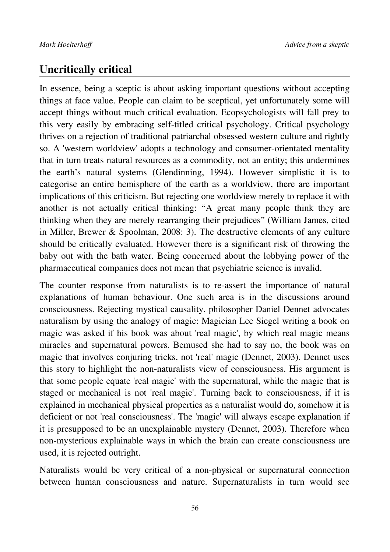#### **Uncritically critical**

In essence, being a sceptic is about asking important questions without accepting things at face value. People can claim to be sceptical, yet unfortunately some will accept things without much critical evaluation. Ecopsychologists will fall prey to this very easily by embracing self-titled critical psychology. Critical psychology thrives on a rejection of traditional patriarchal obsessed western culture and rightly so. A 'western worldview' adopts a technology and consumer-orientated mentality that in turn treats natural resources as a commodity, not an entity; this undermines the earth's natural systems (Glendinning, 1994). However simplistic it is to categorise an entire hemisphere of the earth as a worldview, there are important implications of this criticism. But rejecting one worldview merely to replace it with another is not actually critical thinking: "A great many people think they are thinking when they are merely rearranging their prejudices" (William James, cited in Miller, Brewer & Spoolman, 2008: 3). The destructive elements of any culture should be critically evaluated. However there is a significant risk of throwing the baby out with the bath water. Being concerned about the lobbying power of the pharmaceutical companies does not mean that psychiatric science is invalid.

The counter response from naturalists is to re-assert the importance of natural explanations of human behaviour. One such area is in the discussions around consciousness. Rejecting mystical causality, philosopher Daniel Dennet advocates naturalism by using the analogy of magic: Magician Lee Siegel writing a book on magic was asked if his book was about 'real magic', by which real magic means miracles and supernatural powers. Bemused she had to say no, the book was on magic that involves conjuring tricks, not 'real' magic (Dennet, 2003). Dennet uses this story to highlight the non-naturalists view of consciousness. His argument is that some people equate 'real magic' with the supernatural, while the magic that is staged or mechanical is not 'real magic'. Turning back to consciousness, if it is explained in mechanical physical properties as a naturalist would do, somehow it is deficient or not 'real consciousness'. The 'magic' will always escape explanation if it is presupposed to be an unexplainable mystery (Dennet, 2003). Therefore when non-mysterious explainable ways in which the brain can create consciousness are used, it is rejected outright.

Naturalists would be very critical of a non-physical or supernatural connection between human consciousness and nature. Supernaturalists in turn would see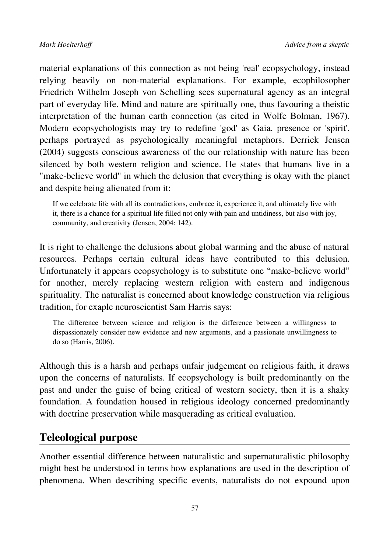material explanations of this connection as not being 'real' ecopsychology, instead relying heavily on non-material explanations. For example, ecophilosopher Friedrich Wilhelm Joseph von Schelling sees supernatural agency as an integral part of everyday life. Mind and nature are spiritually one, thus favouring a theistic interpretation of the human earth connection (as cited in Wolfe Bolman, 1967). Modern ecopsychologists may try to redefine 'god' as Gaia, presence or 'spirit', perhaps portrayed as psychologically meaningful metaphors. Derrick Jensen (2004) suggests conscious awareness of the our relationship with nature has been silenced by both western religion and science. He states that humans live in a "make-believe world" in which the delusion that everything is okay with the planet and despite being alienated from it:

If we celebrate life with all its contradictions, embrace it, experience it, and ultimately live with it, there is a chance for a spiritual life filled not only with pain and untidiness, but also with joy, community, and creativity (Jensen, 2004: 142).

It is right to challenge the delusions about global warming and the abuse of natural resources. Perhaps certain cultural ideas have contributed to this delusion. Unfortunately it appears ecopsychology is to substitute one "make-believe world" for another, merely replacing western religion with eastern and indigenous spirituality. The naturalist is concerned about knowledge construction via religious tradition, for exaple neuroscientist Sam Harris says:

The difference between science and religion is the difference between a willingness to dispassionately consider new evidence and new arguments, and a passionate unwillingness to do so (Harris, 2006).

Although this is a harsh and perhaps unfair judgement on religious faith, it draws upon the concerns of naturalists. If ecopsychology is built predominantly on the past and under the guise of being critical of western society, then it is a shaky foundation. A foundation housed in religious ideology concerned predominantly with doctrine preservation while masquerading as critical evaluation.

#### **Teleological purpose**

Another essential difference between naturalistic and supernaturalistic philosophy might best be understood in terms how explanations are used in the description of phenomena. When describing specific events, naturalists do not expound upon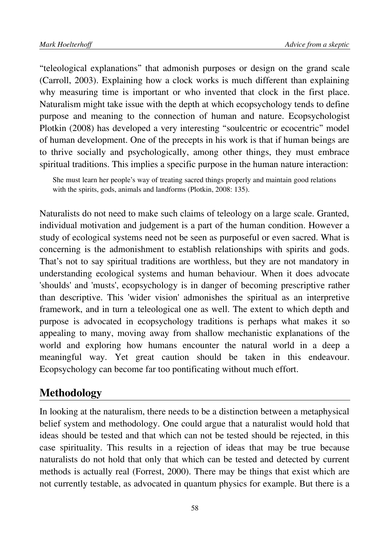"teleological explanations" that admonish purposes or design on the grand scale (Carroll, 2003). Explaining how a clock works is much different than explaining why measuring time is important or who invented that clock in the first place. Naturalism might take issue with the depth at which ecopsychology tends to define purpose and meaning to the connection of human and nature. Ecopsychologist Plotkin (2008) has developed a very interesting "soulcentric or ecocentric" model of human development. One of the precepts in his work is that if human beings are to thrive socially and psychologically, among other things, they must embrace spiritual traditions. This implies a specific purpose in the human nature interaction:

She must learn her people's way of treating sacred things properly and maintain good relations with the spirits, gods, animals and landforms (Plotkin, 2008: 135).

Naturalists do not need to make such claims of teleology on a large scale. Granted, individual motivation and judgement is a part of the human condition. However a study of ecological systems need not be seen as purposeful or even sacred. What is concerning is the admonishment to establish relationships with spirits and gods. That's not to say spiritual traditions are worthless, but they are not mandatory in understanding ecological systems and human behaviour. When it does advocate 'shoulds' and 'musts', ecopsychology is in danger of becoming prescriptive rather than descriptive. This 'wider vision' admonishes the spiritual as an interpretive framework, and in turn a teleological one as well. The extent to which depth and purpose is advocated in ecopsychology traditions is perhaps what makes it so appealing to many, moving away from shallow mechanistic explanations of the world and exploring how humans encounter the natural world in a deep a meaningful way. Yet great caution should be taken in this endeavour. Ecopsychology can become far too pontificating without much effort.

#### **Methodology**

In looking at the naturalism, there needs to be a distinction between a metaphysical belief system and methodology. One could argue that a naturalist would hold that ideas should be tested and that which can not be tested should be rejected, in this case spirituality. This results in a rejection of ideas that may be true because naturalists do not hold that only that which can be tested and detected by current methods is actually real (Forrest, 2000). There may be things that exist which are not currently testable, as advocated in quantum physics for example. But there is a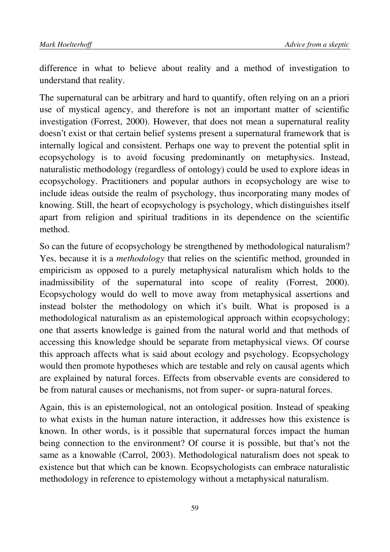difference in what to believe about reality and a method of investigation to understand that reality.

The supernatural can be arbitrary and hard to quantify, often relying on an a priori use of mystical agency, and therefore is not an important matter of scientific investigation (Forrest, 2000). However, that does not mean a supernatural reality doesn't exist or that certain belief systems present a supernatural framework that is internally logical and consistent. Perhaps one way to prevent the potential split in ecopsychology is to avoid focusing predominantly on metaphysics. Instead, naturalistic methodology (regardless of ontology) could be used to explore ideas in ecopsychology. Practitioners and popular authors in ecopsychology are wise to include ideas outside the realm of psychology, thus incorporating many modes of knowing. Still, the heart of ecopsychology is psychology, which distinguishes itself apart from religion and spiritual traditions in its dependence on the scientific method.

So can the future of ecopsychology be strengthened by methodological naturalism? Yes, because it is a *methodology* that relies on the scientific method, grounded in empiricism as opposed to a purely metaphysical naturalism which holds to the inadmissibility of the supernatural into scope of reality (Forrest, 2000). Ecopsychology would do well to move away from metaphysical assertions and instead bolster the methodology on which it's built. What is proposed is a methodological naturalism as an epistemological approach within ecopsychology; one that asserts knowledge is gained from the natural world and that methods of accessing this knowledge should be separate from metaphysical views. Of course this approach affects what is said about ecology and psychology. Ecopsychology would then promote hypotheses which are testable and rely on causal agents which are explained by natural forces. Effects from observable events are considered to be from natural causes or mechanisms, not from super- or supra-natural forces.

Again, this is an epistemological, not an ontological position. Instead of speaking to what exists in the human nature interaction, it addresses how this existence is known. In other words, is it possible that supernatural forces impact the human being connection to the environment? Of course it is possible, but that's not the same as a knowable (Carrol, 2003). Methodological naturalism does not speak to existence but that which can be known. Ecopsychologists can embrace naturalistic methodology in reference to epistemology without a metaphysical naturalism.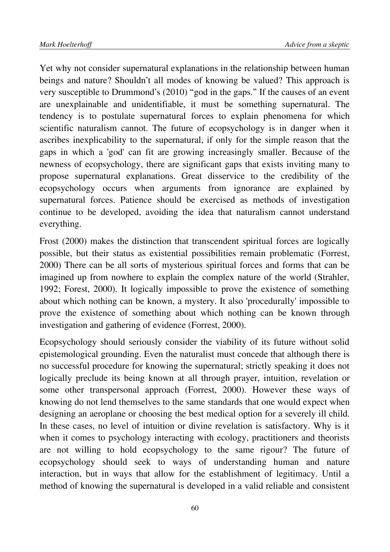Yet why not consider supernatural explanations in the relationship between human beings and nature? Shouldn't all modes of knowing be valued? This approach is very susceptible to Drummond's (2010) "god in the gaps." If the causes of an event are unexplainable and unidentifiable, it must be something supernatural. The tendency is to postulate supernatural forces to explain phenomena for which scientific naturalism cannot. The future of ecopsychology is in danger when it ascribes inexplicability to the supernatural, if only for the simple reason that the gaps in which a 'god' can fit are growing increasingly smaller. Because of the newness of ecopsychology, there are significant gaps that exists inviting many to propose supernatural explanations. Great disservice to the credibility of the ecopsychology occurs when arguments from ignorance are explained by supernatural forces. Patience should be exercised as methods of investigation continue to be developed, avoiding the idea that naturalism cannot understand everything.

Frost (2000) makes the distinction that transcendent spiritual forces are logically possible, but their status as existential possibilities remain problematic (Forrest, 2000) There can be all sorts of mysterious spiritual forces and forms that can be imagined up from nowhere to explain the complex nature of the world (Strahler, 1992; Forest, 2000). It logically impossible to prove the existence of something about which nothing can be known, a mystery. It also 'procedurally' impossible to prove the existence of something about which nothing can be known through investigation and gathering of evidence (Forrest, 2000).

Ecopsychology should seriously consider the viability of its future without solid epistemological grounding. Even the naturalist must concede that although there is no successful procedure for knowing the supernatural; strictly speaking it does not logically preclude its being known at all through prayer, intuition, revelation or some other transpersonal approach (Forrest, 2000). However these ways of knowing do not lend themselves to the same standards that one would expect when designing an aeroplane or choosing the best medical option for a severely ill child. In these cases, no level of intuition or divine revelation is satisfactory. Why is it when it comes to psychology interacting with ecology, practitioners and theorists are not willing to hold ecopsychology to the same rigour? The future of ecopsychology should seek to ways of understanding human and nature interaction, but in ways that allow for the establishment of legitimacy. Until a method of knowing the supernatural is developed in a valid reliable and consistent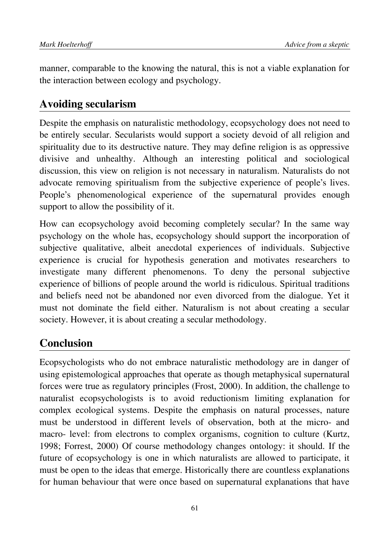manner, comparable to the knowing the natural, this is not a viable explanation for the interaction between ecology and psychology.

### **Avoiding secularism**

Despite the emphasis on naturalistic methodology, ecopsychology does not need to be entirely secular. Secularists would support a society devoid of all religion and spirituality due to its destructive nature. They may define religion is as oppressive divisive and unhealthy. Although an interesting political and sociological discussion, this view on religion is not necessary in naturalism. Naturalists do not advocate removing spiritualism from the subjective experience of people's lives. People's phenomenological experience of the supernatural provides enough support to allow the possibility of it.

How can ecopsychology avoid becoming completely secular? In the same way psychology on the whole has, ecopsychology should support the incorporation of subjective qualitative, albeit anecdotal experiences of individuals. Subjective experience is crucial for hypothesis generation and motivates researchers to investigate many different phenomenons. To deny the personal subjective experience of billions of people around the world is ridiculous. Spiritual traditions and beliefs need not be abandoned nor even divorced from the dialogue. Yet it must not dominate the field either. Naturalism is not about creating a secular society. However, it is about creating a secular methodology.

# **Conclusion**

Ecopsychologists who do not embrace naturalistic methodology are in danger of using epistemological approaches that operate as though metaphysical supernatural forces were true as regulatory principles (Frost, 2000). In addition, the challenge to naturalist ecopsychologists is to avoid reductionism limiting explanation for complex ecological systems. Despite the emphasis on natural processes, nature must be understood in different levels of observation, both at the micro- and macro- level: from electrons to complex organisms, cognition to culture (Kurtz, 1998; Forrest, 2000) Of course methodology changes ontology: it should. If the future of ecopsychology is one in which naturalists are allowed to participate, it must be open to the ideas that emerge. Historically there are countless explanations for human behaviour that were once based on supernatural explanations that have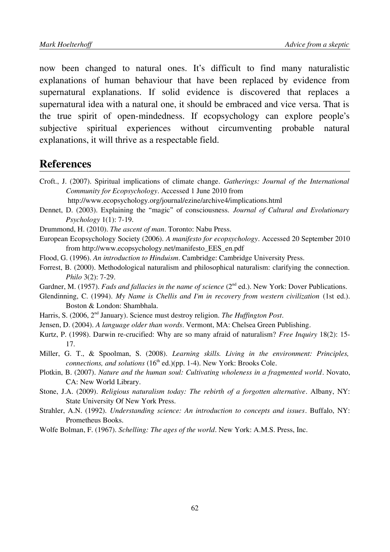now been changed to natural ones. It's difficult to find many naturalistic explanations of human behaviour that have been replaced by evidence from supernatural explanations. If solid evidence is discovered that replaces a supernatural idea with a natural one, it should be embraced and vice versa. That is the true spirit of open-mindedness. If ecopsychology can explore people's subjective spiritual experiences without circumventing probable natural explanations, it will thrive as a respectable field.

#### **References**

Croft., J. (2007). Spiritual implications of climate change. *Gatherings: Journal of the International Community for Ecopsychology*. Accessed 1 June 2010 from

http://www.ecopsychology.org/journal/ezine/archive4/implications.html

Dennet, D. (2003). Explaining the "magic" of consciousness. *Journal of Cultural and Evolutionary Psychology* 1(1): 7-19.

Drummond, H. (2010). *The ascent of man*. Toronto: Nabu Press.

- European Ecopsychology Society (2006). *A manifesto for ecopsychology*. Accessed 20 September 2010 from http://www.ecopsychology.net/manifesto\_EES\_en.pdf
- Flood, G. (1996). *An introduction to Hinduism*. Cambridge: Cambridge University Press.
- Forrest, B. (2000). Methodological naturalism and philosophical naturalism: clarifying the connection. *Philo* 3(2): 7-29.
- Gardner, M. (1957). *Fads and fallacies in the name of science* (2<sup>nd</sup> ed.). New York: Dover Publications.
- Glendinning, C. (1994). *My Name is Chellis and I'm in recovery from western civilization* (1st ed.). Boston & London: Shambhala.
- Harris, S. (2006, 2nd January). Science must destroy religion. *The Huffington Post*.
- Jensen, D. (2004). *A language older than words*. Vermont, MA: Chelsea Green Publishing.
- Kurtz, P. (1998). Darwin re-crucified: Why are so many afraid of naturalism? *Free Inquiry* 18(2): 15- 17.
- Miller, G. T., & Spoolman, S. (2008). *Learning skills. Living in the environment: Principles, connections, and solutions* (16<sup>th</sup> ed.)(pp. 1-4). New York: Brooks Cole.
- Plotkin, B. (2007). *Nature and the human soul: Cultivating wholeness in a fragmented world*. Novato, CA: New World Library.
- Stone, J.A. (2009). *Religious naturalism today: The rebirth of a forgotten alternative*. Albany, NY: State University Of New York Press.
- Strahler, A.N. (1992). *Understanding science: An introduction to concepts and issues*. Buffalo, NY: Prometheus Books.
- Wolfe Bolman, F. (1967). *Schelling: The ages of the world*. New York: A.M.S. Press, Inc.